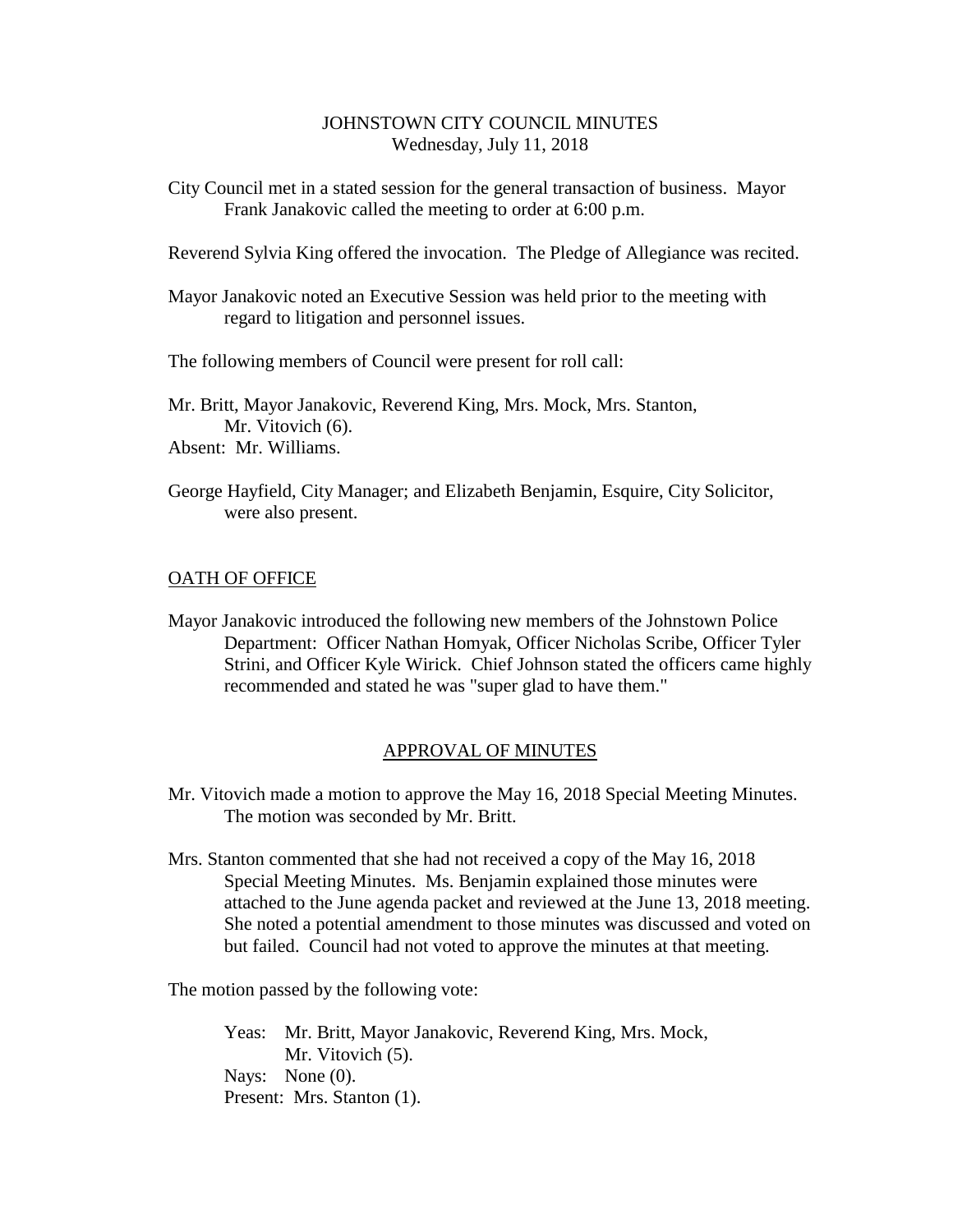### JOHNSTOWN CITY COUNCIL MINUTES Wednesday, July 11, 2018

City Council met in a stated session for the general transaction of business. Mayor Frank Janakovic called the meeting to order at 6:00 p.m.

Reverend Sylvia King offered the invocation. The Pledge of Allegiance was recited.

Mayor Janakovic noted an Executive Session was held prior to the meeting with regard to litigation and personnel issues.

The following members of Council were present for roll call:

Mr. Britt, Mayor Janakovic, Reverend King, Mrs. Mock, Mrs. Stanton, Mr. Vitovich  $(6)$ . Absent: Mr. Williams.

George Hayfield, City Manager; and Elizabeth Benjamin, Esquire, City Solicitor, were also present.

## OATH OF OFFICE

Mayor Janakovic introduced the following new members of the Johnstown Police Department: Officer Nathan Homyak, Officer Nicholas Scribe, Officer Tyler Strini, and Officer Kyle Wirick. Chief Johnson stated the officers came highly recommended and stated he was "super glad to have them."

### APPROVAL OF MINUTES

- Mr. Vitovich made a motion to approve the May 16, 2018 Special Meeting Minutes. The motion was seconded by Mr. Britt.
- Mrs. Stanton commented that she had not received a copy of the May 16, 2018 Special Meeting Minutes. Ms. Benjamin explained those minutes were attached to the June agenda packet and reviewed at the June 13, 2018 meeting. She noted a potential amendment to those minutes was discussed and voted on but failed. Council had not voted to approve the minutes at that meeting.

The motion passed by the following vote:

Yeas: Mr. Britt, Mayor Janakovic, Reverend King, Mrs. Mock, Mr. Vitovich  $(5)$ . Nays: None (0). Present: Mrs. Stanton (1).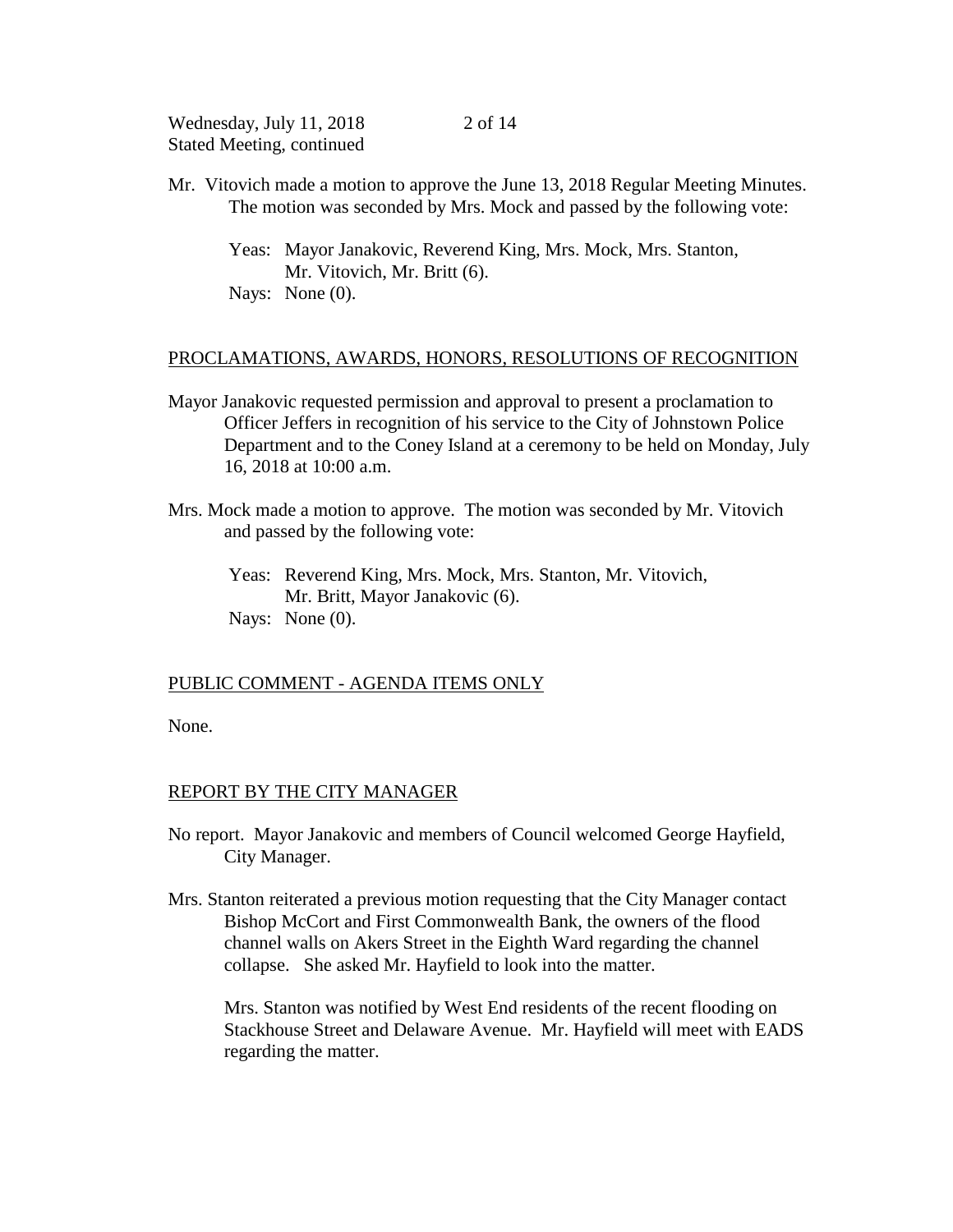Mr. Vitovich made a motion to approve the June 13, 2018 Regular Meeting Minutes. The motion was seconded by Mrs. Mock and passed by the following vote:

2 of 14

Yeas: Mayor Janakovic, Reverend King, Mrs. Mock, Mrs. Stanton, Mr. Vitovich, Mr. Britt (6). Nays: None  $(0)$ .

### PROCLAMATIONS, AWARDS, HONORS, RESOLUTIONS OF RECOGNITION

- Mayor Janakovic requested permission and approval to present a proclamation to Officer Jeffers in recognition of his service to the City of Johnstown Police Department and to the Coney Island at a ceremony to be held on Monday, July 16, 2018 at 10:00 a.m.
- Mrs. Mock made a motion to approve. The motion was seconded by Mr. Vitovich and passed by the following vote:
	- Yeas: Reverend King, Mrs. Mock, Mrs. Stanton, Mr. Vitovich, Mr. Britt, Mayor Janakovic (6). Nays: None  $(0)$ .

### PUBLIC COMMENT - AGENDA ITEMS ONLY

None.

#### REPORT BY THE CITY MANAGER

- No report. Mayor Janakovic and members of Council welcomed George Hayfield, City Manager.
- Mrs. Stanton reiterated a previous motion requesting that the City Manager contact Bishop McCort and First Commonwealth Bank, the owners of the flood channel walls on Akers Street in the Eighth Ward regarding the channel collapse. She asked Mr. Hayfield to look into the matter.

Mrs. Stanton was notified by West End residents of the recent flooding on Stackhouse Street and Delaware Avenue. Mr. Hayfield will meet with EADS regarding the matter.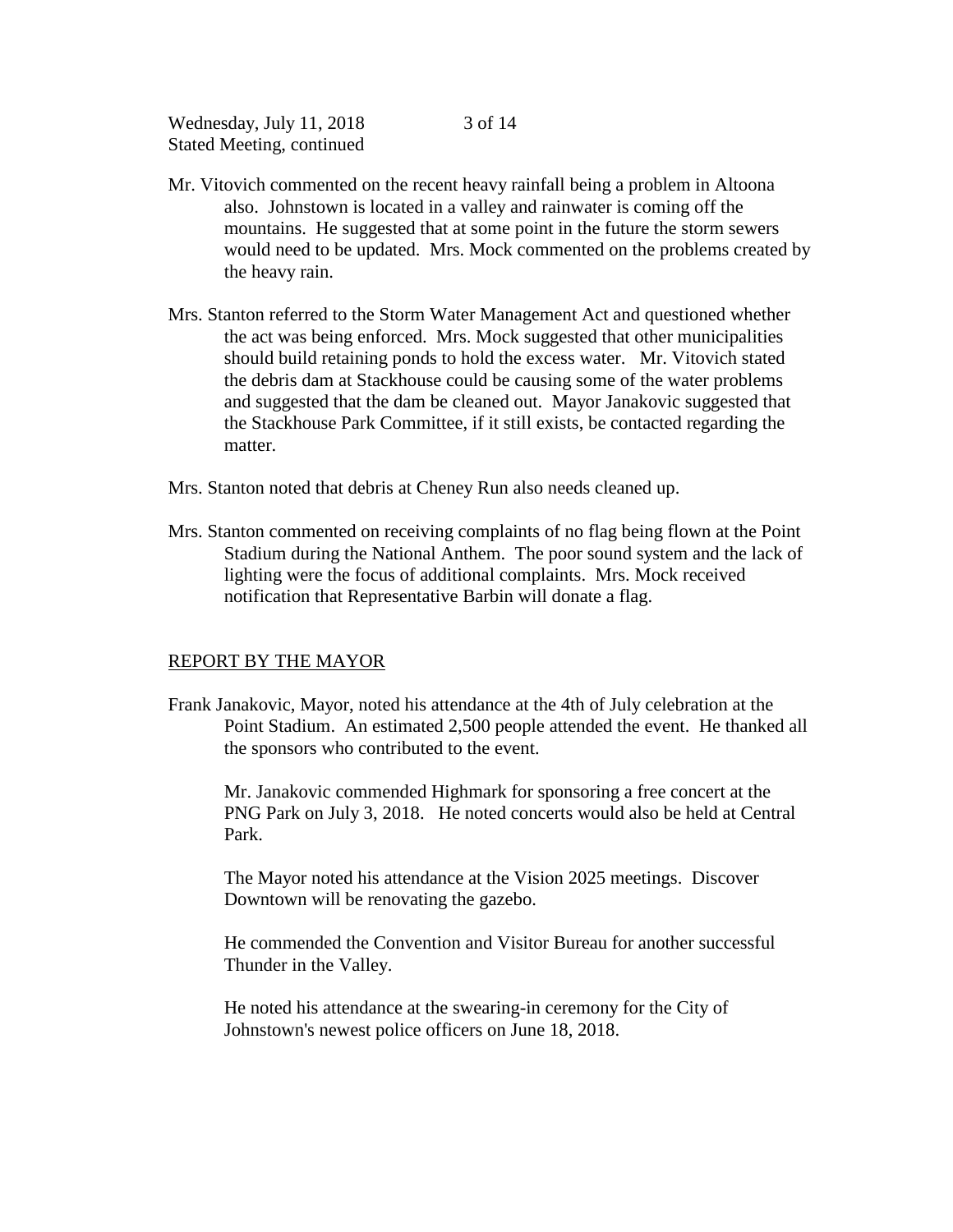Mr. Vitovich commented on the recent heavy rainfall being a problem in Altoona also. Johnstown is located in a valley and rainwater is coming off the mountains. He suggested that at some point in the future the storm sewers would need to be updated. Mrs. Mock commented on the problems created by the heavy rain.

3 of 14

- Mrs. Stanton referred to the Storm Water Management Act and questioned whether the act was being enforced. Mrs. Mock suggested that other municipalities should build retaining ponds to hold the excess water. Mr. Vitovich stated the debris dam at Stackhouse could be causing some of the water problems and suggested that the dam be cleaned out. Mayor Janakovic suggested that the Stackhouse Park Committee, if it still exists, be contacted regarding the matter.
- Mrs. Stanton noted that debris at Cheney Run also needs cleaned up.
- Mrs. Stanton commented on receiving complaints of no flag being flown at the Point Stadium during the National Anthem. The poor sound system and the lack of lighting were the focus of additional complaints. Mrs. Mock received notification that Representative Barbin will donate a flag.

#### REPORT BY THE MAYOR

Frank Janakovic, Mayor, noted his attendance at the 4th of July celebration at the Point Stadium. An estimated 2,500 people attended the event. He thanked all the sponsors who contributed to the event.

Mr. Janakovic commended Highmark for sponsoring a free concert at the PNG Park on July 3, 2018. He noted concerts would also be held at Central Park.

The Mayor noted his attendance at the Vision 2025 meetings. Discover Downtown will be renovating the gazebo.

He commended the Convention and Visitor Bureau for another successful Thunder in the Valley.

He noted his attendance at the swearing-in ceremony for the City of Johnstown's newest police officers on June 18, 2018.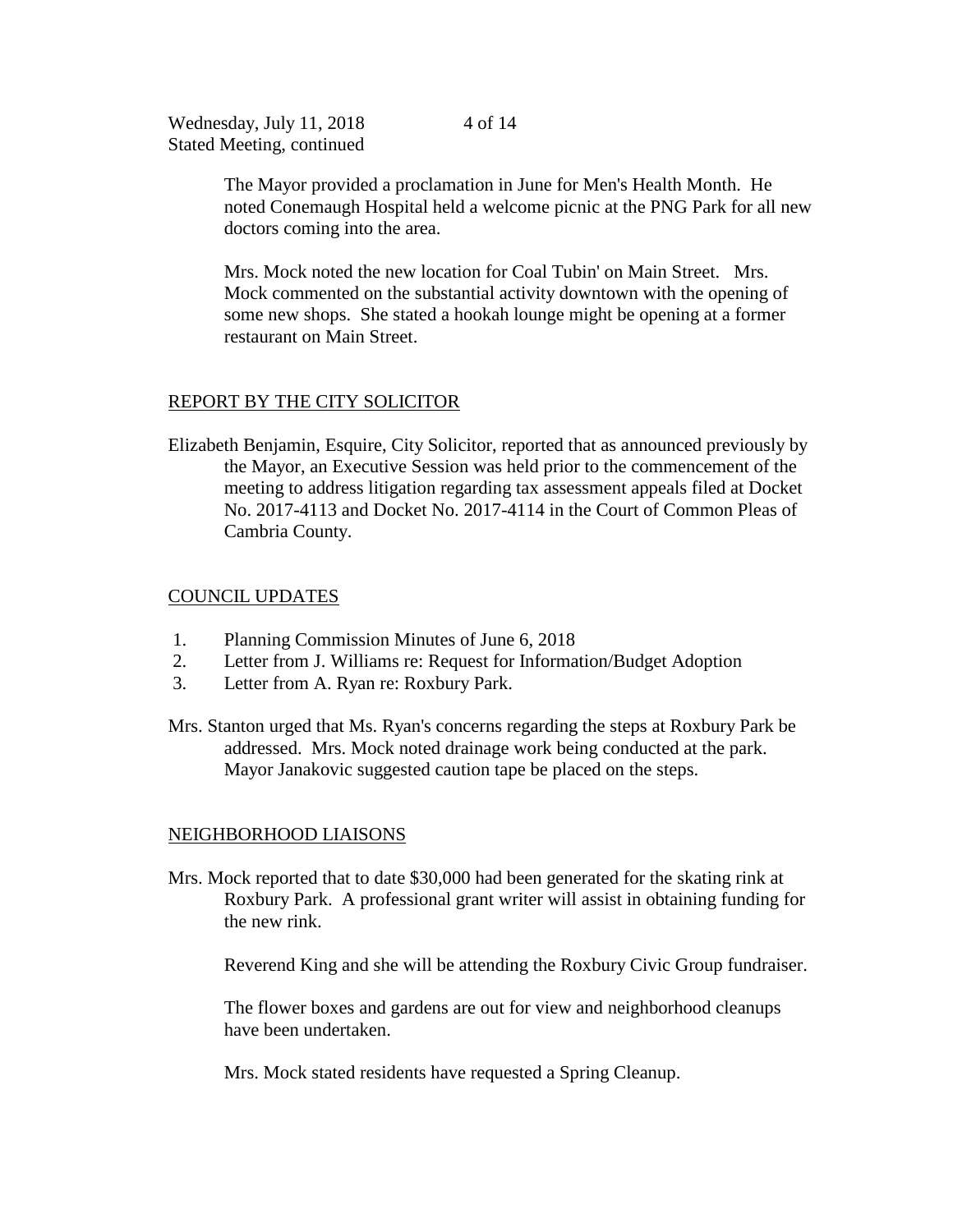> The Mayor provided a proclamation in June for Men's Health Month. He noted Conemaugh Hospital held a welcome picnic at the PNG Park for all new doctors coming into the area.

Mrs. Mock noted the new location for Coal Tubin' on Main Street. Mrs. Mock commented on the substantial activity downtown with the opening of some new shops. She stated a hookah lounge might be opening at a former restaurant on Main Street.

## REPORT BY THE CITY SOLICITOR

Elizabeth Benjamin, Esquire, City Solicitor, reported that as announced previously by the Mayor, an Executive Session was held prior to the commencement of the meeting to address litigation regarding tax assessment appeals filed at Docket No. 2017-4113 and Docket No. 2017-4114 in the Court of Common Pleas of Cambria County.

## COUNCIL UPDATES

- 1. Planning Commission Minutes of June 6, 2018
- 2. Letter from J. Williams re: Request for Information/Budget Adoption
- 3. Letter from A. Ryan re: Roxbury Park.
- Mrs. Stanton urged that Ms. Ryan's concerns regarding the steps at Roxbury Park be addressed. Mrs. Mock noted drainage work being conducted at the park. Mayor Janakovic suggested caution tape be placed on the steps.

## NEIGHBORHOOD LIAISONS

Mrs. Mock reported that to date \$30,000 had been generated for the skating rink at Roxbury Park. A professional grant writer will assist in obtaining funding for the new rink.

Reverend King and she will be attending the Roxbury Civic Group fundraiser.

The flower boxes and gardens are out for view and neighborhood cleanups have been undertaken.

Mrs. Mock stated residents have requested a Spring Cleanup.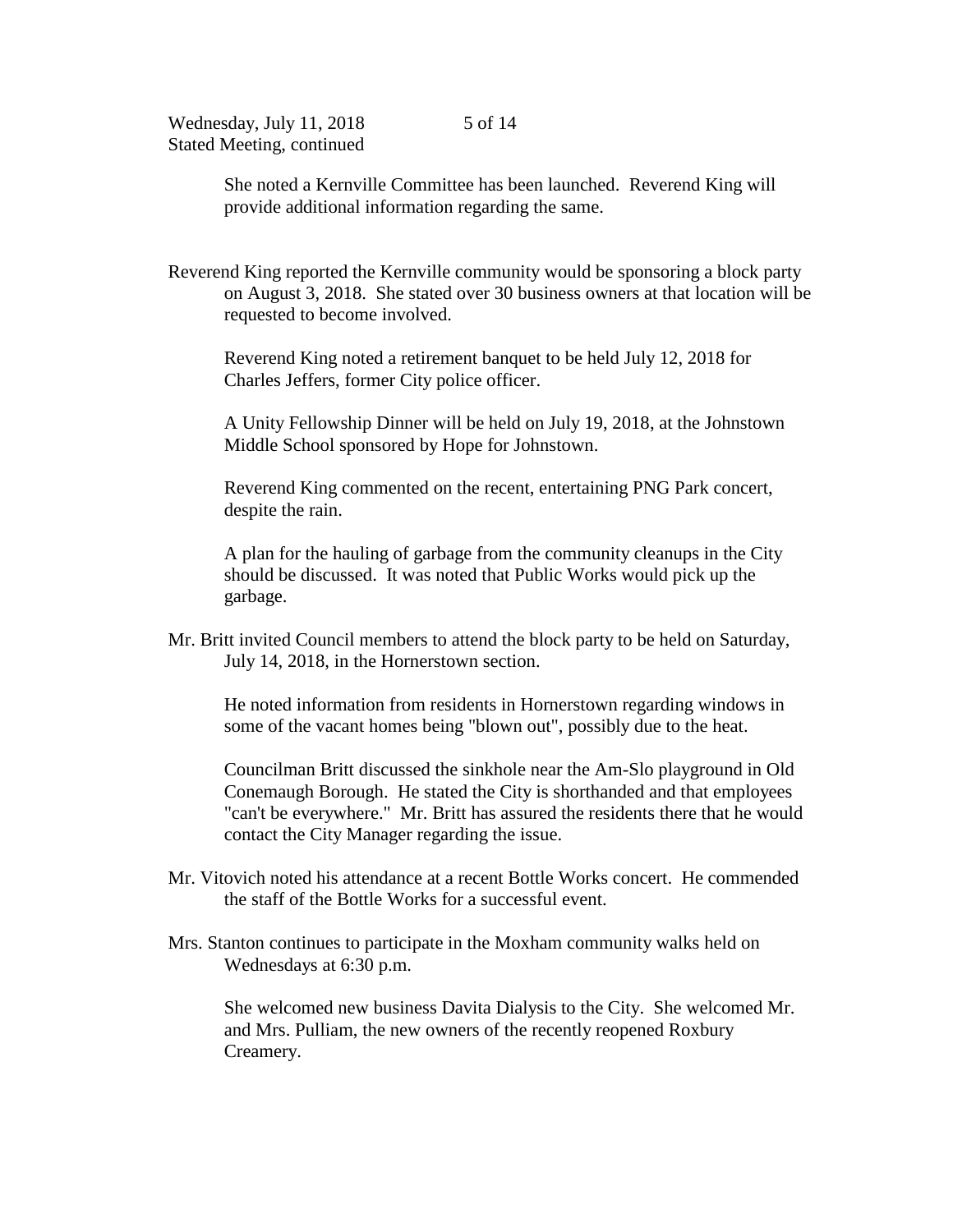> She noted a Kernville Committee has been launched. Reverend King will provide additional information regarding the same.

Reverend King reported the Kernville community would be sponsoring a block party on August 3, 2018. She stated over 30 business owners at that location will be requested to become involved.

Reverend King noted a retirement banquet to be held July 12, 2018 for Charles Jeffers, former City police officer.

A Unity Fellowship Dinner will be held on July 19, 2018, at the Johnstown Middle School sponsored by Hope for Johnstown.

Reverend King commented on the recent, entertaining PNG Park concert, despite the rain.

A plan for the hauling of garbage from the community cleanups in the City should be discussed. It was noted that Public Works would pick up the garbage.

Mr. Britt invited Council members to attend the block party to be held on Saturday, July 14, 2018, in the Hornerstown section.

He noted information from residents in Hornerstown regarding windows in some of the vacant homes being "blown out", possibly due to the heat.

Councilman Britt discussed the sinkhole near the Am-Slo playground in Old Conemaugh Borough. He stated the City is shorthanded and that employees "can't be everywhere." Mr. Britt has assured the residents there that he would contact the City Manager regarding the issue.

- Mr. Vitovich noted his attendance at a recent Bottle Works concert. He commended the staff of the Bottle Works for a successful event.
- Mrs. Stanton continues to participate in the Moxham community walks held on Wednesdays at 6:30 p.m.

She welcomed new business Davita Dialysis to the City. She welcomed Mr. and Mrs. Pulliam, the new owners of the recently reopened Roxbury Creamery.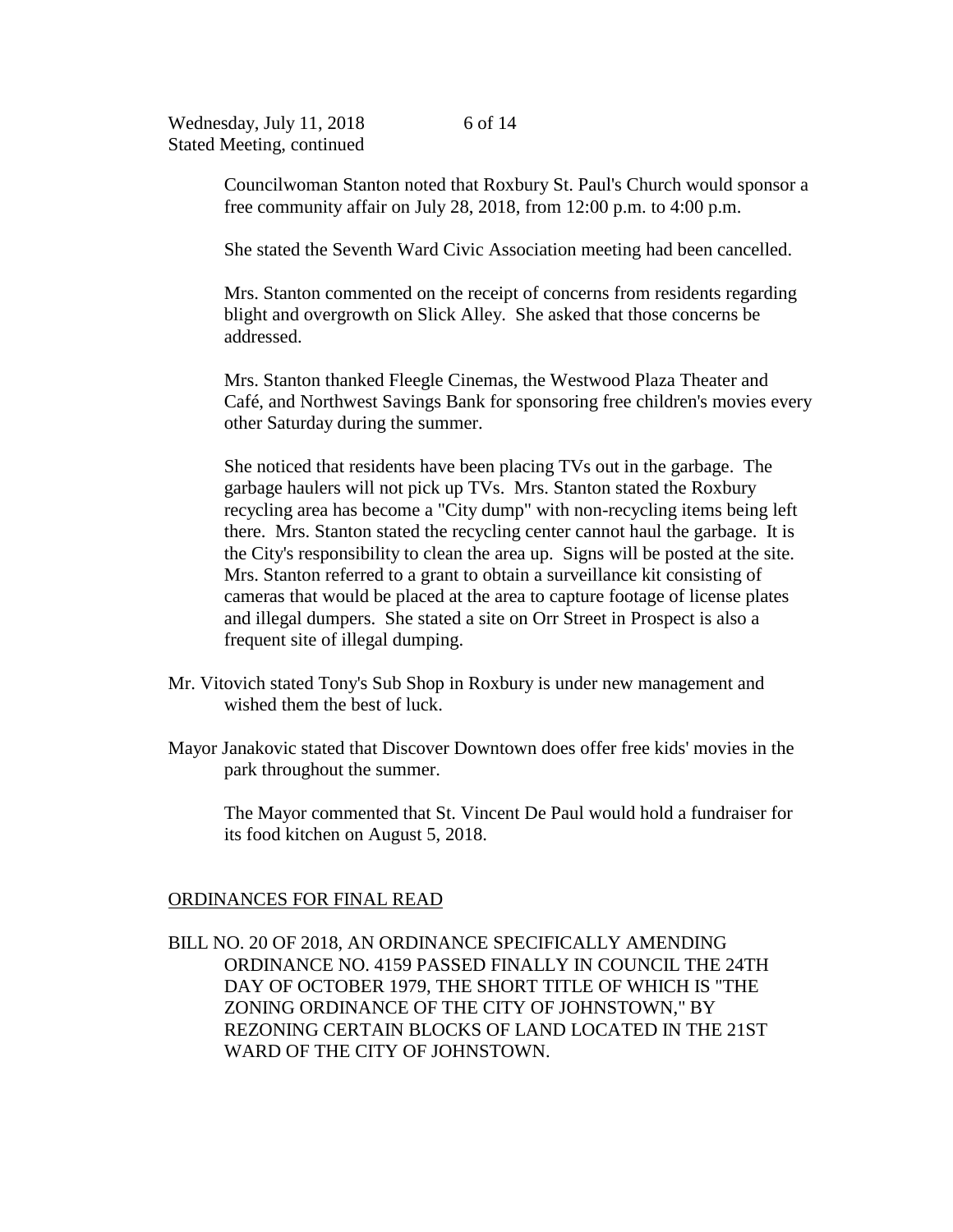Councilwoman Stanton noted that Roxbury St. Paul's Church would sponsor a free community affair on July 28, 2018, from 12:00 p.m. to 4:00 p.m.

She stated the Seventh Ward Civic Association meeting had been cancelled.

Mrs. Stanton commented on the receipt of concerns from residents regarding blight and overgrowth on Slick Alley. She asked that those concerns be addressed.

Mrs. Stanton thanked Fleegle Cinemas, the Westwood Plaza Theater and Café, and Northwest Savings Bank for sponsoring free children's movies every other Saturday during the summer.

She noticed that residents have been placing TVs out in the garbage. The garbage haulers will not pick up TVs. Mrs. Stanton stated the Roxbury recycling area has become a "City dump" with non-recycling items being left there. Mrs. Stanton stated the recycling center cannot haul the garbage. It is the City's responsibility to clean the area up. Signs will be posted at the site. Mrs. Stanton referred to a grant to obtain a surveillance kit consisting of cameras that would be placed at the area to capture footage of license plates and illegal dumpers. She stated a site on Orr Street in Prospect is also a frequent site of illegal dumping.

- Mr. Vitovich stated Tony's Sub Shop in Roxbury is under new management and wished them the best of luck.
- Mayor Janakovic stated that Discover Downtown does offer free kids' movies in the park throughout the summer.

The Mayor commented that St. Vincent De Paul would hold a fundraiser for its food kitchen on August 5, 2018.

### ORDINANCES FOR FINAL READ

BILL NO. 20 OF 2018, AN ORDINANCE SPECIFICALLY AMENDING ORDINANCE NO. 4159 PASSED FINALLY IN COUNCIL THE 24TH DAY OF OCTOBER 1979, THE SHORT TITLE OF WHICH IS "THE ZONING ORDINANCE OF THE CITY OF JOHNSTOWN," BY REZONING CERTAIN BLOCKS OF LAND LOCATED IN THE 21ST WARD OF THE CITY OF JOHNSTOWN.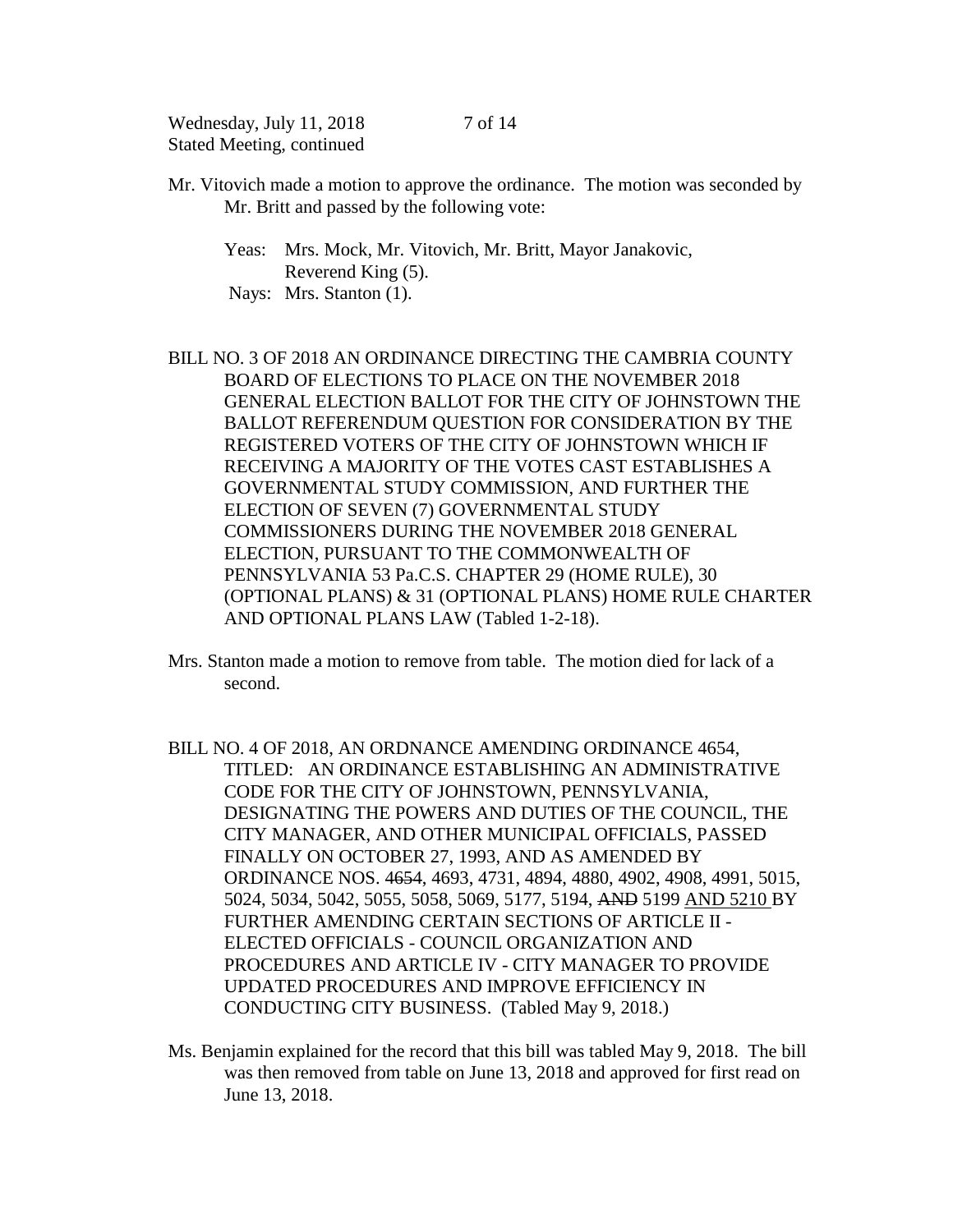Mr. Vitovich made a motion to approve the ordinance. The motion was seconded by Mr. Britt and passed by the following vote:

Yeas: Mrs. Mock, Mr. Vitovich, Mr. Britt, Mayor Janakovic, Reverend King (5). Nays: Mrs. Stanton (1).

BILL NO. 3 OF 2018 AN ORDINANCE DIRECTING THE CAMBRIA COUNTY BOARD OF ELECTIONS TO PLACE ON THE NOVEMBER 2018 GENERAL ELECTION BALLOT FOR THE CITY OF JOHNSTOWN THE BALLOT REFERENDUM QUESTION FOR CONSIDERATION BY THE REGISTERED VOTERS OF THE CITY OF JOHNSTOWN WHICH IF RECEIVING A MAJORITY OF THE VOTES CAST ESTABLISHES A GOVERNMENTAL STUDY COMMISSION, AND FURTHER THE ELECTION OF SEVEN (7) GOVERNMENTAL STUDY COMMISSIONERS DURING THE NOVEMBER 2018 GENERAL ELECTION, PURSUANT TO THE COMMONWEALTH OF PENNSYLVANIA 53 Pa.C.S. CHAPTER 29 (HOME RULE), 30 (OPTIONAL PLANS) & 31 (OPTIONAL PLANS) HOME RULE CHARTER AND OPTIONAL PLANS LAW (Tabled 1-2-18).

- Mrs. Stanton made a motion to remove from table. The motion died for lack of a second.
- BILL NO. 4 OF 2018, AN ORDNANCE AMENDING ORDINANCE 4654, TITLED: AN ORDINANCE ESTABLISHING AN ADMINISTRATIVE CODE FOR THE CITY OF JOHNSTOWN, PENNSYLVANIA, DESIGNATING THE POWERS AND DUTIES OF THE COUNCIL, THE CITY MANAGER, AND OTHER MUNICIPAL OFFICIALS, PASSED FINALLY ON OCTOBER 27, 1993, AND AS AMENDED BY ORDINANCE NOS. 4654, 4693, 4731, 4894, 4880, 4902, 4908, 4991, 5015, 5024, 5034, 5042, 5055, 5058, 5069, 5177, 5194, AND 5199 AND 5210 BY FURTHER AMENDING CERTAIN SECTIONS OF ARTICLE II - ELECTED OFFICIALS - COUNCIL ORGANIZATION AND PROCEDURES AND ARTICLE IV - CITY MANAGER TO PROVIDE UPDATED PROCEDURES AND IMPROVE EFFICIENCY IN CONDUCTING CITY BUSINESS. (Tabled May 9, 2018.)
- Ms. Benjamin explained for the record that this bill was tabled May 9, 2018. The bill was then removed from table on June 13, 2018 and approved for first read on June 13, 2018.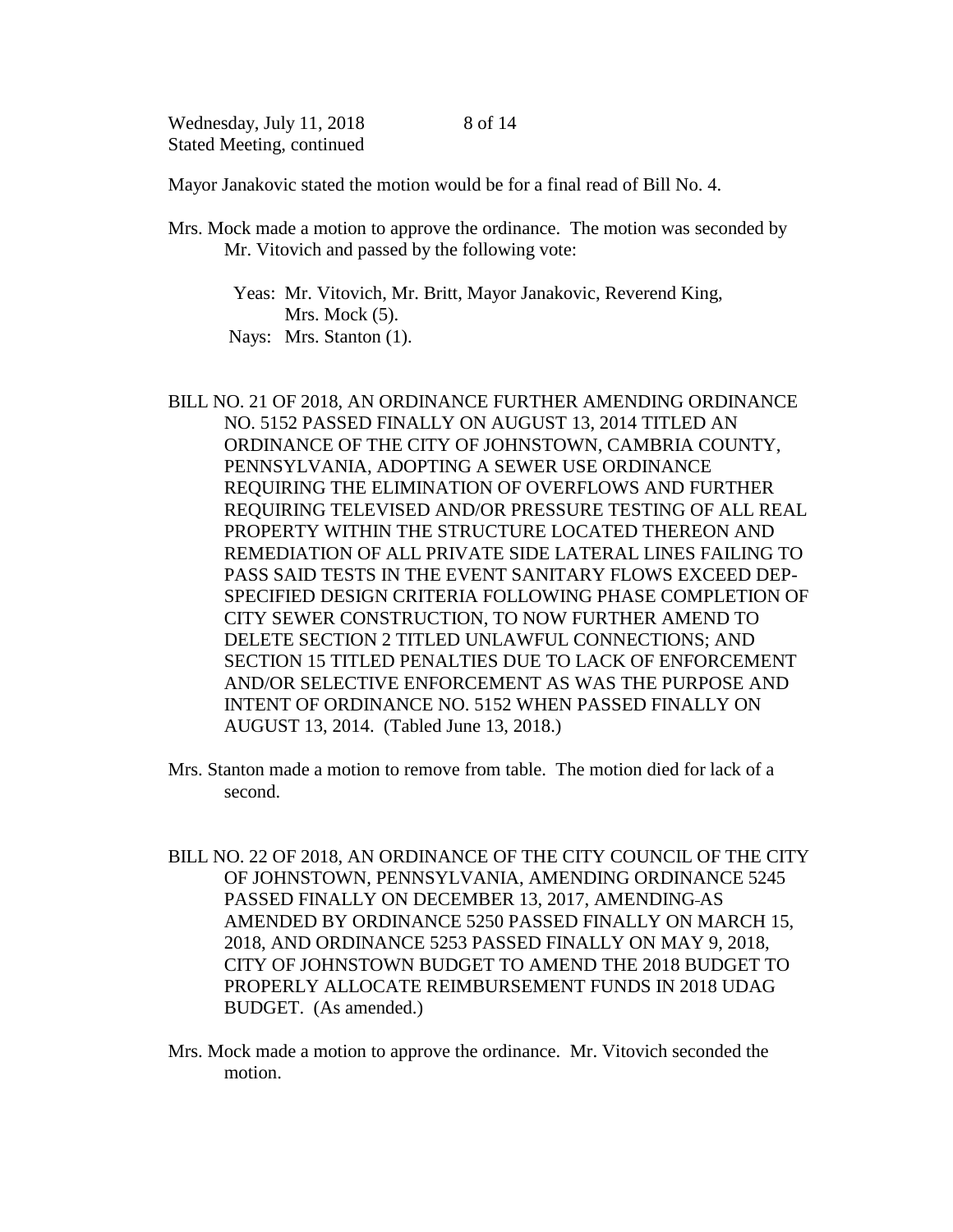Mayor Janakovic stated the motion would be for a final read of Bill No. 4.

Mrs. Mock made a motion to approve the ordinance. The motion was seconded by Mr. Vitovich and passed by the following vote:

 Yeas: Mr. Vitovich, Mr. Britt, Mayor Janakovic, Reverend King, Mrs. Mock  $(5)$ . Nays: Mrs. Stanton (1).

- BILL NO. 21 OF 2018, AN ORDINANCE FURTHER AMENDING ORDINANCE NO. 5152 PASSED FINALLY ON AUGUST 13, 2014 TITLED AN ORDINANCE OF THE CITY OF JOHNSTOWN, CAMBRIA COUNTY, PENNSYLVANIA, ADOPTING A SEWER USE ORDINANCE REQUIRING THE ELIMINATION OF OVERFLOWS AND FURTHER REQUIRING TELEVISED AND/OR PRESSURE TESTING OF ALL REAL PROPERTY WITHIN THE STRUCTURE LOCATED THEREON AND REMEDIATION OF ALL PRIVATE SIDE LATERAL LINES FAILING TO PASS SAID TESTS IN THE EVENT SANITARY FLOWS EXCEED DEP-SPECIFIED DESIGN CRITERIA FOLLOWING PHASE COMPLETION OF CITY SEWER CONSTRUCTION, TO NOW FURTHER AMEND TO DELETE SECTION 2 TITLED UNLAWFUL CONNECTIONS; AND SECTION 15 TITLED PENALTIES DUE TO LACK OF ENFORCEMENT AND/OR SELECTIVE ENFORCEMENT AS WAS THE PURPOSE AND INTENT OF ORDINANCE NO. 5152 WHEN PASSED FINALLY ON AUGUST 13, 2014. (Tabled June 13, 2018.)
- Mrs. Stanton made a motion to remove from table. The motion died for lack of a second.
- BILL NO. 22 OF 2018, AN ORDINANCE OF THE CITY COUNCIL OF THE CITY OF JOHNSTOWN, PENNSYLVANIA, AMENDING ORDINANCE 5245 PASSED FINALLY ON DECEMBER 13, 2017, AMENDING AS AMENDED BY ORDINANCE 5250 PASSED FINALLY ON MARCH 15, 2018, AND ORDINANCE 5253 PASSED FINALLY ON MAY 9, 2018, CITY OF JOHNSTOWN BUDGET TO AMEND THE 2018 BUDGET TO PROPERLY ALLOCATE REIMBURSEMENT FUNDS IN 2018 UDAG BUDGET. (As amended.)
- Mrs. Mock made a motion to approve the ordinance. Mr. Vitovich seconded the motion.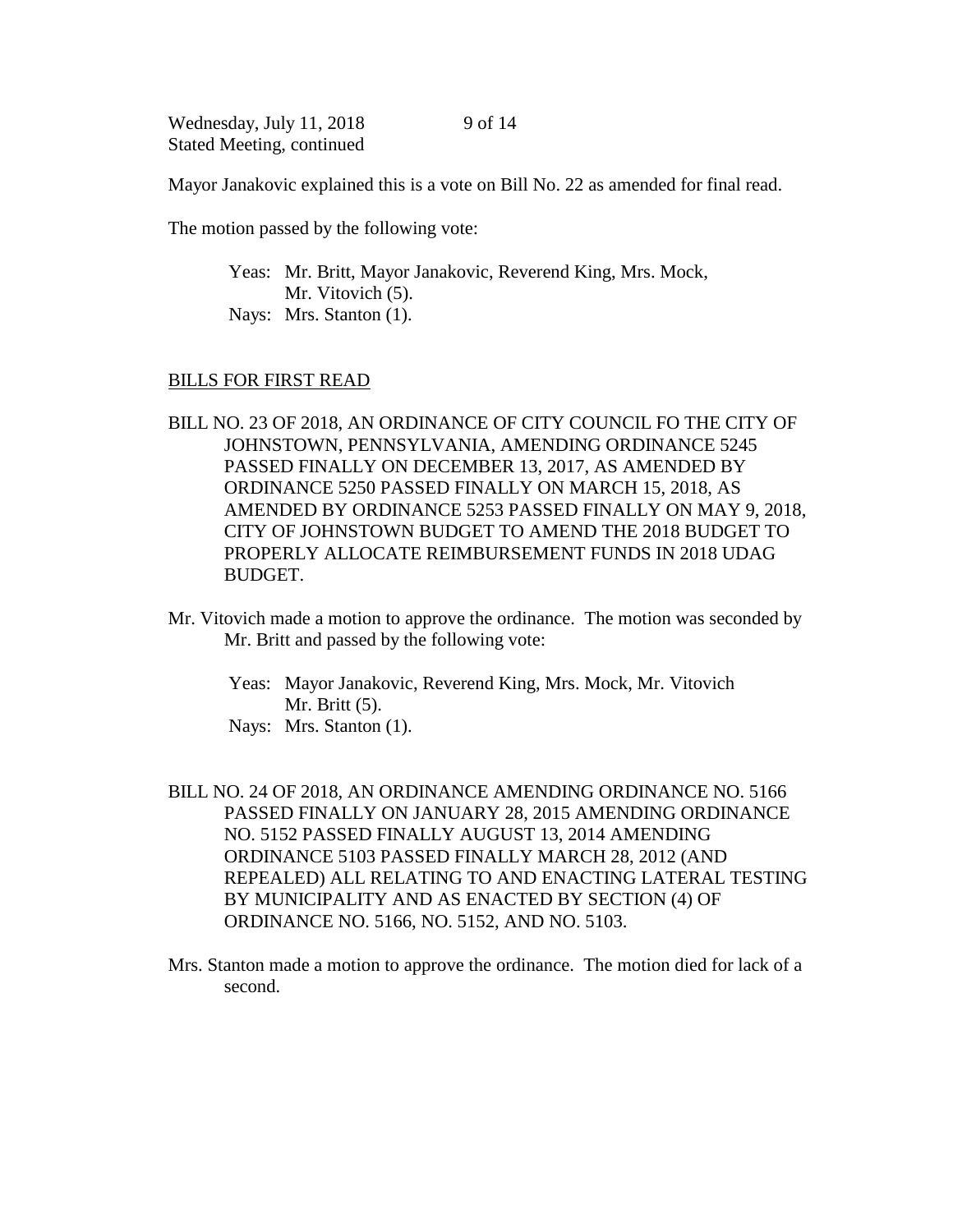Mayor Janakovic explained this is a vote on Bill No. 22 as amended for final read.

The motion passed by the following vote:

Yeas: Mr. Britt, Mayor Janakovic, Reverend King, Mrs. Mock, Mr. Vitovich  $(5)$ . Nays: Mrs. Stanton (1).

#### BILLS FOR FIRST READ

- BILL NO. 23 OF 2018, AN ORDINANCE OF CITY COUNCIL FO THE CITY OF JOHNSTOWN, PENNSYLVANIA, AMENDING ORDINANCE 5245 PASSED FINALLY ON DECEMBER 13, 2017, AS AMENDED BY ORDINANCE 5250 PASSED FINALLY ON MARCH 15, 2018, AS AMENDED BY ORDINANCE 5253 PASSED FINALLY ON MAY 9, 2018, CITY OF JOHNSTOWN BUDGET TO AMEND THE 2018 BUDGET TO PROPERLY ALLOCATE REIMBURSEMENT FUNDS IN 2018 UDAG BUDGET.
- Mr. Vitovich made a motion to approve the ordinance. The motion was seconded by Mr. Britt and passed by the following vote:
	- Yeas: Mayor Janakovic, Reverend King, Mrs. Mock, Mr. Vitovich Mr. Britt (5).
	- Nays: Mrs. Stanton (1).
- BILL NO. 24 OF 2018, AN ORDINANCE AMENDING ORDINANCE NO. 5166 PASSED FINALLY ON JANUARY 28, 2015 AMENDING ORDINANCE NO. 5152 PASSED FINALLY AUGUST 13, 2014 AMENDING ORDINANCE 5103 PASSED FINALLY MARCH 28, 2012 (AND REPEALED) ALL RELATING TO AND ENACTING LATERAL TESTING BY MUNICIPALITY AND AS ENACTED BY SECTION (4) OF ORDINANCE NO. 5166, NO. 5152, AND NO. 5103.
- Mrs. Stanton made a motion to approve the ordinance. The motion died for lack of a second.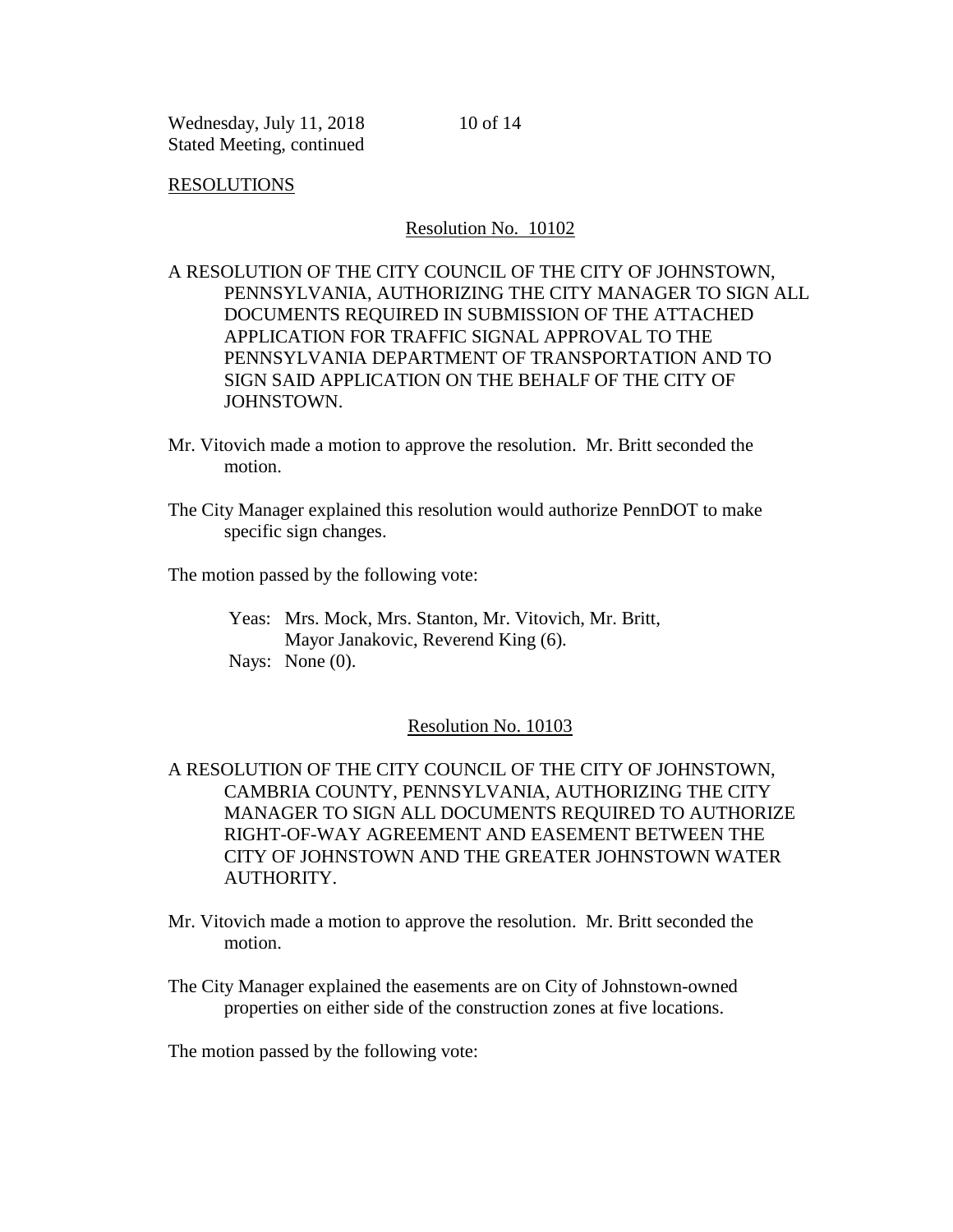10 of 14

#### RESOLUTIONS

#### Resolution No. 10102

## A RESOLUTION OF THE CITY COUNCIL OF THE CITY OF JOHNSTOWN, PENNSYLVANIA, AUTHORIZING THE CITY MANAGER TO SIGN ALL DOCUMENTS REQUIRED IN SUBMISSION OF THE ATTACHED APPLICATION FOR TRAFFIC SIGNAL APPROVAL TO THE PENNSYLVANIA DEPARTMENT OF TRANSPORTATION AND TO SIGN SAID APPLICATION ON THE BEHALF OF THE CITY OF JOHNSTOWN.

- Mr. Vitovich made a motion to approve the resolution. Mr. Britt seconded the motion.
- The City Manager explained this resolution would authorize PennDOT to make specific sign changes.

The motion passed by the following vote:

Yeas: Mrs. Mock, Mrs. Stanton, Mr. Vitovich, Mr. Britt, Mayor Janakovic, Reverend King (6). Nays: None (0).

#### Resolution No. 10103

# A RESOLUTION OF THE CITY COUNCIL OF THE CITY OF JOHNSTOWN, CAMBRIA COUNTY, PENNSYLVANIA, AUTHORIZING THE CITY MANAGER TO SIGN ALL DOCUMENTS REQUIRED TO AUTHORIZE RIGHT-OF-WAY AGREEMENT AND EASEMENT BETWEEN THE CITY OF JOHNSTOWN AND THE GREATER JOHNSTOWN WATER AUTHORITY.

Mr. Vitovich made a motion to approve the resolution. Mr. Britt seconded the motion.

The City Manager explained the easements are on City of Johnstown-owned properties on either side of the construction zones at five locations.

The motion passed by the following vote: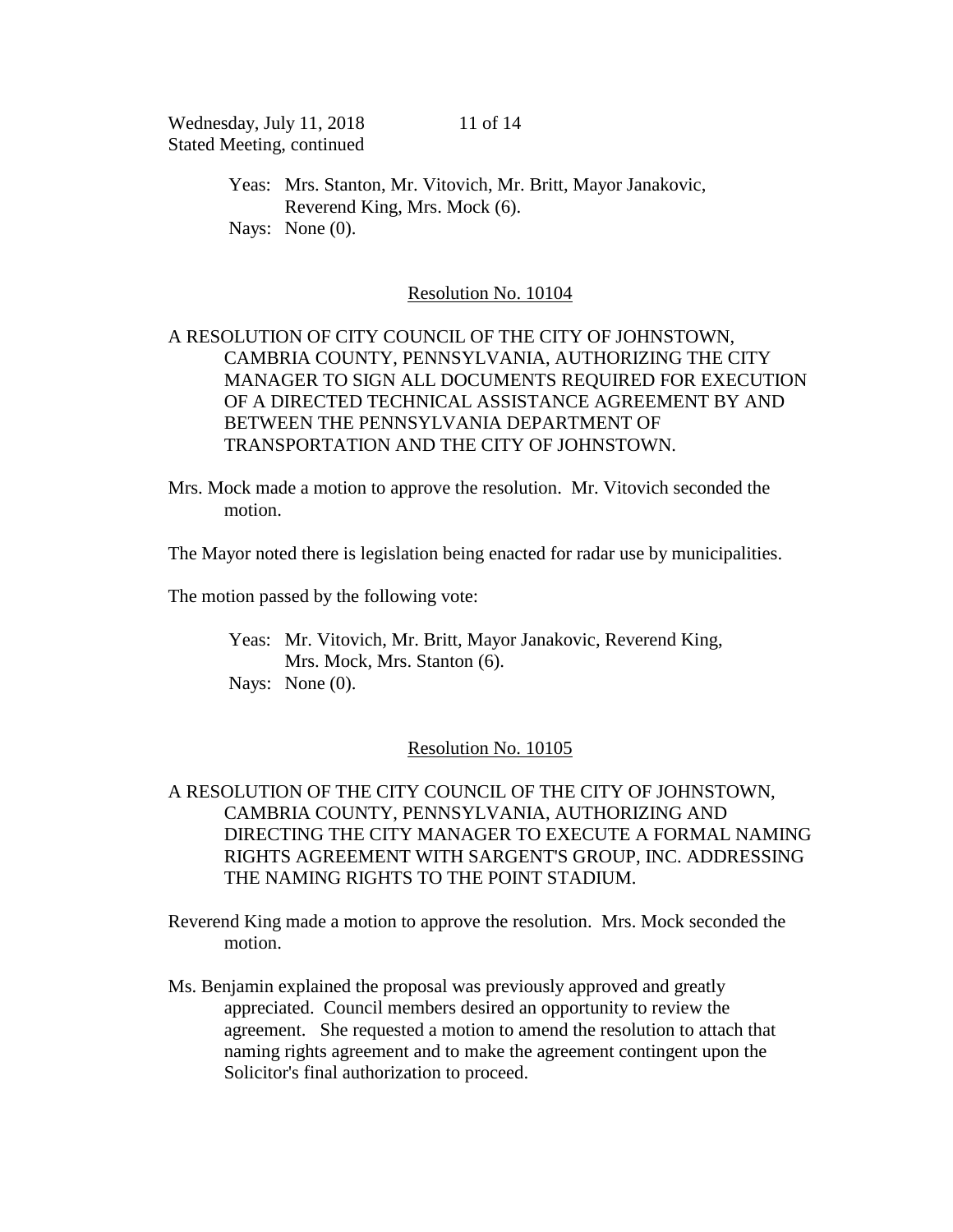Yeas: Mrs. Stanton, Mr. Vitovich, Mr. Britt, Mayor Janakovic, Reverend King, Mrs. Mock (6). Nays: None  $(0)$ .

### Resolution No. 10104

# A RESOLUTION OF CITY COUNCIL OF THE CITY OF JOHNSTOWN, CAMBRIA COUNTY, PENNSYLVANIA, AUTHORIZING THE CITY MANAGER TO SIGN ALL DOCUMENTS REQUIRED FOR EXECUTION OF A DIRECTED TECHNICAL ASSISTANCE AGREEMENT BY AND BETWEEN THE PENNSYLVANIA DEPARTMENT OF TRANSPORTATION AND THE CITY OF JOHNSTOWN.

Mrs. Mock made a motion to approve the resolution. Mr. Vitovich seconded the motion.

The Mayor noted there is legislation being enacted for radar use by municipalities.

The motion passed by the following vote:

Yeas: Mr. Vitovich, Mr. Britt, Mayor Janakovic, Reverend King, Mrs. Mock, Mrs. Stanton (6). Nays: None  $(0)$ .

## Resolution No. 10105

# A RESOLUTION OF THE CITY COUNCIL OF THE CITY OF JOHNSTOWN, CAMBRIA COUNTY, PENNSYLVANIA, AUTHORIZING AND DIRECTING THE CITY MANAGER TO EXECUTE A FORMAL NAMING RIGHTS AGREEMENT WITH SARGENT'S GROUP, INC. ADDRESSING THE NAMING RIGHTS TO THE POINT STADIUM.

Reverend King made a motion to approve the resolution. Mrs. Mock seconded the motion.

Ms. Benjamin explained the proposal was previously approved and greatly appreciated. Council members desired an opportunity to review the agreement. She requested a motion to amend the resolution to attach that naming rights agreement and to make the agreement contingent upon the Solicitor's final authorization to proceed.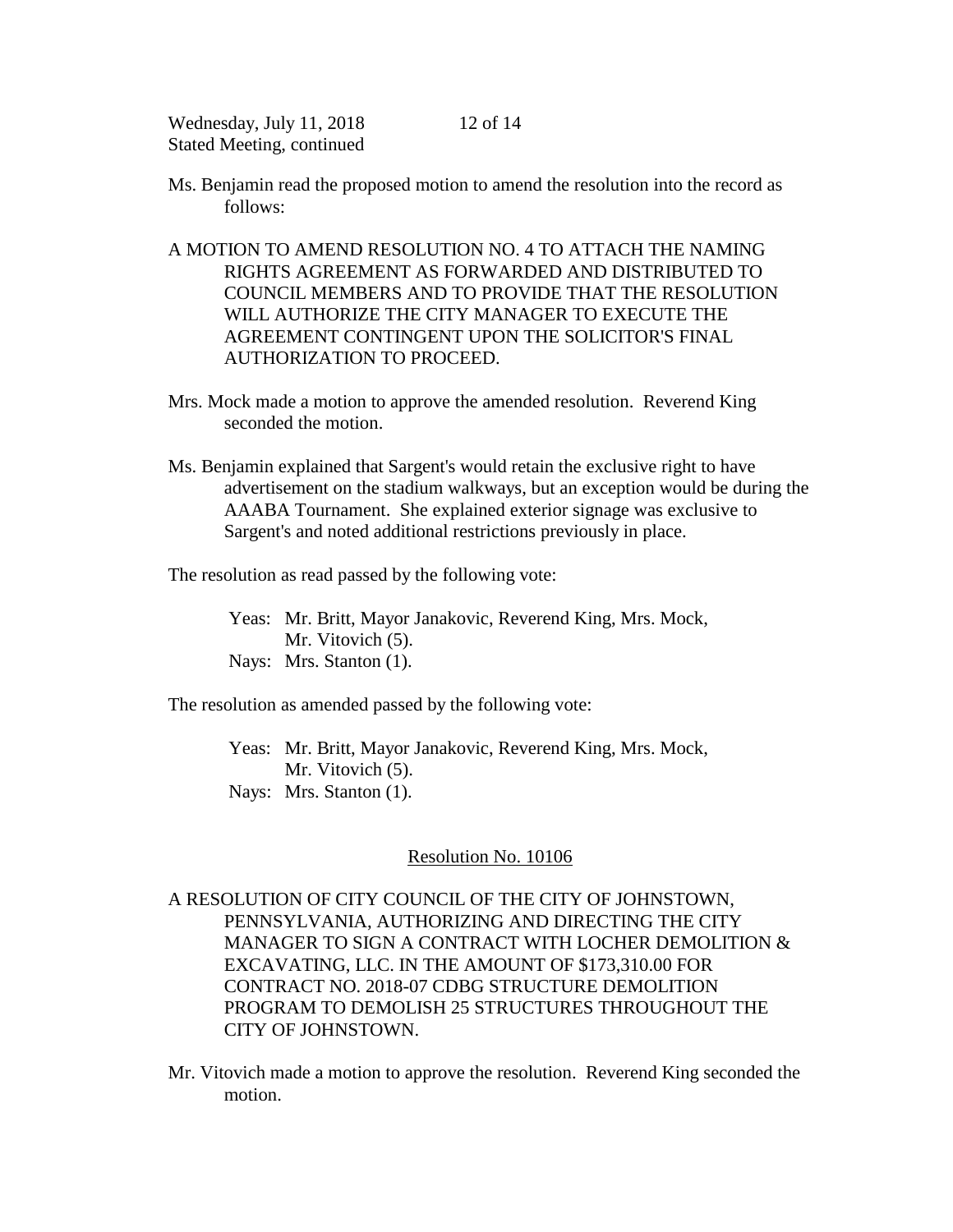- Ms. Benjamin read the proposed motion to amend the resolution into the record as follows:
- A MOTION TO AMEND RESOLUTION NO. 4 TO ATTACH THE NAMING RIGHTS AGREEMENT AS FORWARDED AND DISTRIBUTED TO COUNCIL MEMBERS AND TO PROVIDE THAT THE RESOLUTION WILL AUTHORIZE THE CITY MANAGER TO EXECUTE THE AGREEMENT CONTINGENT UPON THE SOLICITOR'S FINAL AUTHORIZATION TO PROCEED.
- Mrs. Mock made a motion to approve the amended resolution. Reverend King seconded the motion.
- Ms. Benjamin explained that Sargent's would retain the exclusive right to have advertisement on the stadium walkways, but an exception would be during the AAABA Tournament. She explained exterior signage was exclusive to Sargent's and noted additional restrictions previously in place.

The resolution as read passed by the following vote:

Yeas: Mr. Britt, Mayor Janakovic, Reverend King, Mrs. Mock, Mr. Vitovich (5). Nays: Mrs. Stanton (1).

The resolution as amended passed by the following vote:

Yeas: Mr. Britt, Mayor Janakovic, Reverend King, Mrs. Mock, Mr. Vitovich (5). Nays: Mrs. Stanton (1).

### Resolution No. 10106

A RESOLUTION OF CITY COUNCIL OF THE CITY OF JOHNSTOWN, PENNSYLVANIA, AUTHORIZING AND DIRECTING THE CITY MANAGER TO SIGN A CONTRACT WITH LOCHER DEMOLITION & EXCAVATING, LLC. IN THE AMOUNT OF \$173,310.00 FOR CONTRACT NO. 2018-07 CDBG STRUCTURE DEMOLITION PROGRAM TO DEMOLISH 25 STRUCTURES THROUGHOUT THE CITY OF JOHNSTOWN.

Mr. Vitovich made a motion to approve the resolution. Reverend King seconded the motion.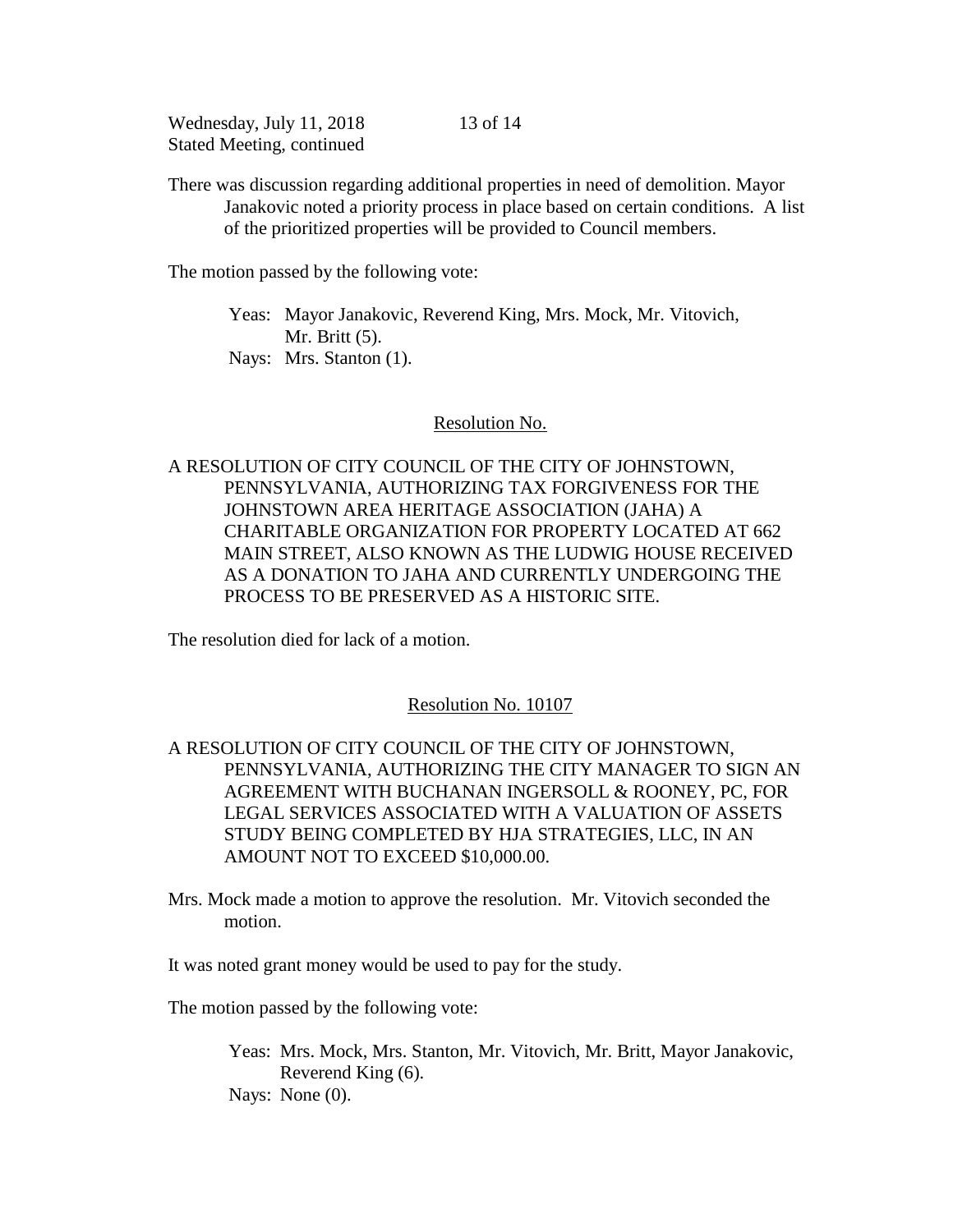13 of 14

There was discussion regarding additional properties in need of demolition. Mayor Janakovic noted a priority process in place based on certain conditions. A list of the prioritized properties will be provided to Council members.

The motion passed by the following vote:

Yeas: Mayor Janakovic, Reverend King, Mrs. Mock, Mr. Vitovich, Mr. Britt (5). Nays: Mrs. Stanton (1).

### Resolution No.

# A RESOLUTION OF CITY COUNCIL OF THE CITY OF JOHNSTOWN, PENNSYLVANIA, AUTHORIZING TAX FORGIVENESS FOR THE JOHNSTOWN AREA HERITAGE ASSOCIATION (JAHA) A CHARITABLE ORGANIZATION FOR PROPERTY LOCATED AT 662 MAIN STREET, ALSO KNOWN AS THE LUDWIG HOUSE RECEIVED AS A DONATION TO JAHA AND CURRENTLY UNDERGOING THE PROCESS TO BE PRESERVED AS A HISTORIC SITE.

The resolution died for lack of a motion.

## Resolution No. 10107

# A RESOLUTION OF CITY COUNCIL OF THE CITY OF JOHNSTOWN, PENNSYLVANIA, AUTHORIZING THE CITY MANAGER TO SIGN AN AGREEMENT WITH BUCHANAN INGERSOLL & ROONEY, PC, FOR LEGAL SERVICES ASSOCIATED WITH A VALUATION OF ASSETS STUDY BEING COMPLETED BY HJA STRATEGIES, LLC, IN AN AMOUNT NOT TO EXCEED \$10,000.00.

Mrs. Mock made a motion to approve the resolution. Mr. Vitovich seconded the motion.

It was noted grant money would be used to pay for the study.

The motion passed by the following vote:

Yeas: Mrs. Mock, Mrs. Stanton, Mr. Vitovich, Mr. Britt, Mayor Janakovic, Reverend King (6). Nays: None  $(0)$ .